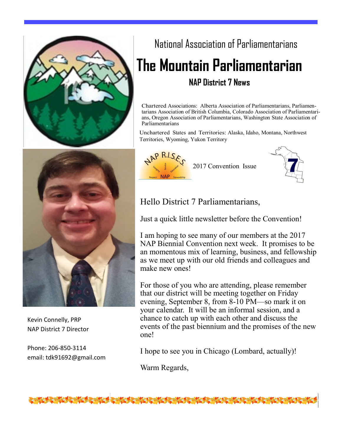

# National Association of Parliamentarians **The Mountain Parliamentarian NAP District 7 News**

Chartered Associations: Alberta Association of Parliamentarians, Parliamentarians Association of British Columbia, Colorado Association of Parliamentarians, Oregon Association of Parliamentarians, Washington State Association of Parliamentarians

Unchartered States and Territories: Alaska, Idaho, Montana, Northwest Territories, Wyoming, Yukon Territory

2017 Convention Issue



Kevin Connelly, PRP NAP District 7 Director

Phone: 206-850-3114 email: tdk91692@gmail.com

# Hello District 7 Parliamentarians,

Just a quick little newsletter before the Convention!

I am hoping to see many of our members at the 2017 NAP Biennial Convention next week. It promises to be an momentous mix of learning, business, and fellowship as we meet up with our old friends and colleagues and make new ones!

For those of you who are attending, please remember that our district will be meeting together on Friday evening, September 8, from 8-10 PM—so mark it on your calendar. It will be an informal session, and a chance to catch up with each other and discuss the events of the past biennium and the promises of the new one!

I hope to see you in Chicago (Lombard, actually)!

Warm Regards,

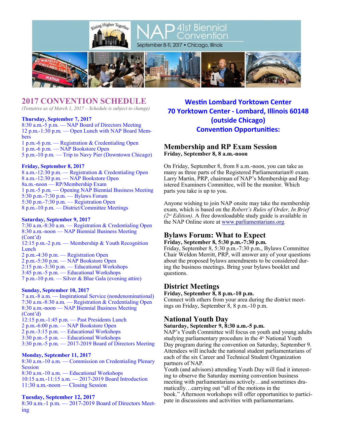



September 8-11, 2017 · Chicago, Illinois

41st Biennial Convention



# **2017 CONVENTION SCHEDULE**

*(Tentative as of March 1, 2017 – Schedule is subject to change)*

#### **Thursday, September 7, 2017**

8:30 a.m.-5 p.m. — NAP Board of Directors Meeting 12 p.m.-1:30 p.m. — Open Lunch with NAP Board Members

1 p.m.-6 p.m. — Registration & Credentialing Open 1 p.m.-6 p.m. — NAP Bookstore Open 5 p.m.-10 p.m. — Trip to Navy Pier (Downtown Chicago)

#### **Friday, September 8, 2017**

8 a.m.-12:30 p.m. — Registration & Credentialing Open 8 a.m.-12:30 p.m. — NAP Bookstore Open 8a.m.-noon — RP/Membership Exam 1 p.m.-5 p.m. — Opening NAP Biennial Business Meeting 5:30 p.m.-7:30 p.m. — Bylaws Forum 5:30 p.m.-7:30 p.m. — Registration Open 8 p.m.-10 p.m. — District/Committee Meetings

### **Saturday, September 9, 2017**

7:30 a.m.-8:30 a.m. — Registration & Credentialing Open 8:30 a.m.-noon — NAP Biennial Business Meeting (Cont'd) 12:15 p.m.-2 p.m. — Membership & Youth Recognition **Lunch** 2 p.m.-4:30 p.m. — Registration Open 2 p.m.-5:30 p.m. — NAP Bookstore Open 2:15 p.m.-3:30 p.m. — Educational Workshops 3:45 p.m.-5 p.m. — Educational Workshops 7 p.m.-10 p.m. — Silver & Blue Gala (evening attire)

## **Sunday, September 10, 2017**

7 a.m.-8 a.m. — Inspirational Service (nondenominational) 7:30 a.m.-8:30 a.m. — Registration & Credentialing Open 8:30 a.m.-noon — NAP Biennial Business Meeting (Cont'd) 12:15 p.m.-1:45 p.m. — Past Presidents Lunch 2 p.m.-6:00 p.m. — NAP Bookstore Open 2 p.m.-3:15 p.m. — Educational Workshops 3:30 p.m.-5 p.m. — Educational Workshops  $3:30$  p.m.-5 p.m.  $-2017-2019$  Board of Directors Meeting

## **Monday, September 11, 2017**

8:30 a.m.-10 a.m. — Commission on Credentialing Plenary Session 8:30 a.m.-10 a.m. — Educational Workshops 10:15 a.m.-11:15 a.m. — 2017-2019 Board Introduction 11:30 a.m.-noon — Closing Session

## **Tuesday, September 12, 2017**

8:30 a.m.-1 p.m. — 2017-2019 Board of Directors Meeting

# **Westin Lombard Yorktown Center 70 Yorktown Center - Lombard, Illinois 60148 (outside Chicago) Convention Opportunities:**

## **Membership and RP Exam Session Friday, September 8, 8 a.m.-noon**

On Friday, September 8, from 8 a.m.-noon, you can take as many as three parts of the Registered Parliamentarian® exam. Larry Martin, PRP, chairman of NAP's Membership and Registered Examiners Committee, will be the monitor. Which parts you take is up to you.

Anyone wishing to join NAP onsite may take the membership exam, which is based on the *Robert's Rules of Order, In Brief (2nd Edition)*. A free downloadable study guide is available in the NAP Online store at [www.parliamentarians.org.](http://www.parliamentarians.org/)

## **Bylaws Forum: What to Expect**

**Friday, September 8, 5:30 p.m.-7:30 p.m.**

Friday, September 8, 5:30 p.m.-7:30 p.m., Bylaws Committee Chair Weldon Merritt, PRP, will answer any of your questions about the proposed bylaws amendments to be considered during the business meetings. Bring your bylaws booklet and questions.

## **District Meetings**

#### **Friday, September 8, 8 p.m.-10 p.m.**

Connect with others from your area during the district meetings on Friday, September 8, 8 p.m.-10 p.m.

## **National Youth Day**

## **Saturday, September 9, 8:30 a.m.-5 p.m.**

NAP's Youth Committee will focus on youth and young adults studying parliamentary procedure in the  $4<sup>th</sup>$  National Youth Day program during the convention on Saturday, September 9. Attendees will include the national student parliamentarians of each of the six Career and Technical Student Organization partners of NAP.

Youth (and advisors) attending Youth Day will find it interesting to observe the Saturday morning convention business meeting with parliamentarians actively…and sometimes dramatically…carrying out "all of the motions in the book." Afternoon workshops will offer opportunities to participate in discussions and activities with parliamentarians.